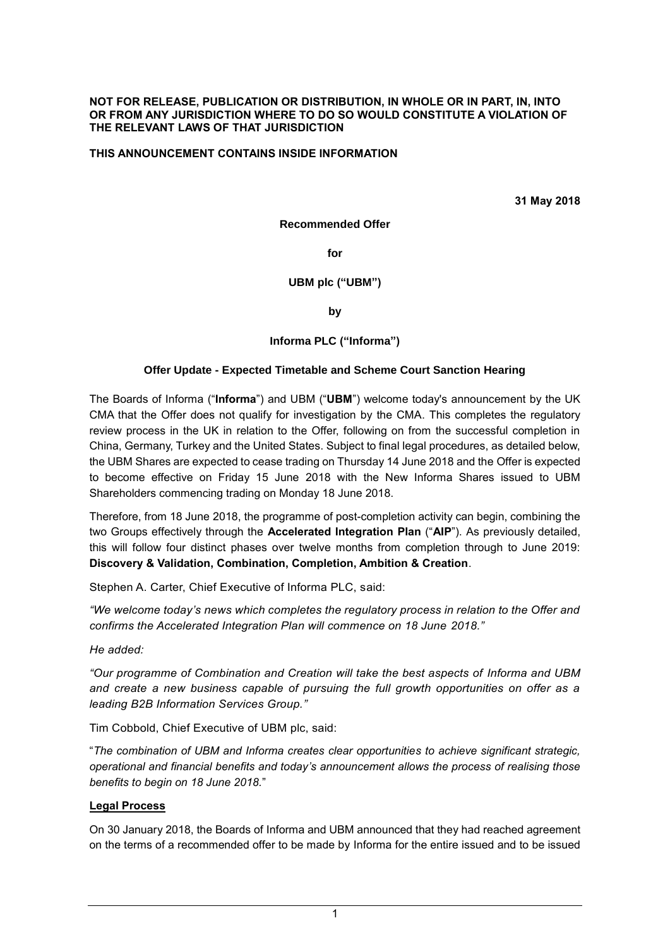#### **NOT FOR RELEASE, PUBLICATION OR DISTRIBUTION, IN WHOLE OR IN PART, IN, INTO OR FROM ANY JURISDICTION WHERE TO DO SO WOULD CONSTITUTE A VIOLATION OF THE RELEVANT LAWS OF THAT JURISDICTION**

### **THIS ANNOUNCEMENT CONTAINS INSIDE INFORMATION**

**31 May 2018**

**Recommended Offer**

**for**

#### **UBM plc ("UBM")**

**by**

### **Informa PLC ("Informa")**

### **Offer Update - Expected Timetable and Scheme Court Sanction Hearing**

The Boards of Informa ("**Informa**") and UBM ("**UBM**") welcome today's announcement by the UK CMA that the Offer does not qualify for investigation by the CMA. This completes the regulatory review process in the UK in relation to the Offer, following on from the successful completion in China, Germany, Turkey and the United States. Subject to final legal procedures, as detailed below, the UBM Shares are expected to cease trading on Thursday 14 June 2018 and the Offer is expected to become effective on Friday 15 June 2018 with the New Informa Shares issued to UBM Shareholders commencing trading on Monday 18 June 2018.

Therefore, from 18 June 2018, the programme of post-completion activity can begin, combining the two Groups effectively through the **Accelerated Integration Plan** ("**AIP**"). As previously detailed, this will follow four distinct phases over twelve months from completion through to June 2019: **Discovery & Validation, Combination, Completion, Ambition & Creation**.

Stephen A. Carter, Chief Executive of Informa PLC, said:

*"We welcome today's news which completes the regulatory process in relation to the Offer and confirms the Accelerated Integration Plan will commence on 18 June 2018."*

*He added:*

*"Our programme of Combination and Creation will take the best aspects of Informa and UBM and create a new business capable of pursuing the full growth opportunities on offer as a leading B2B Information Services Group."*

Tim Cobbold, Chief Executive of UBM plc, said:

"*The combination of UBM and Informa creates clear opportunities to achieve significant strategic, operational and financial benefits and today's announcement allows the process of realising those benefits to begin on 18 June 2018.*"

### **Legal Process**

On 30 January 2018, the Boards of Informa and UBM announced that they had reached agreement on the terms of a recommended offer to be made by Informa for the entire issued and to be issued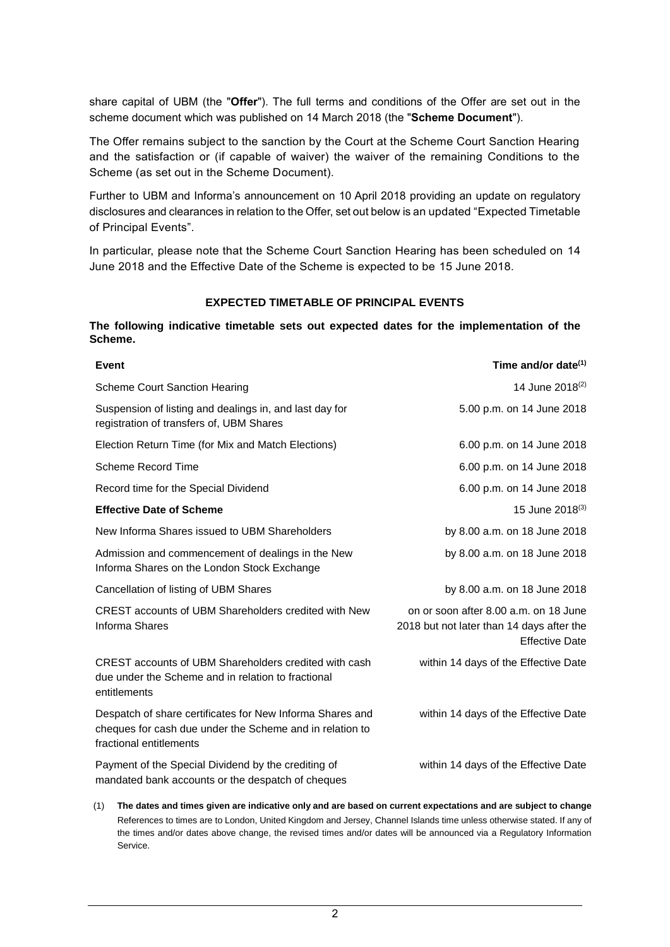share capital of UBM (the "**Offer**"). The full terms and conditions of the Offer are set out in the scheme document which was published on 14 March 2018 (the "**Scheme Document**").

The Offer remains subject to the sanction by the Court at the Scheme Court Sanction Hearing and the satisfaction or (if capable of waiver) the waiver of the remaining Conditions to the Scheme (as set out in the Scheme Document).

Further to UBM and Informa's announcement on 10 April 2018 providing an update on regulatory disclosures and clearances in relation to the Offer, set out below is an updated "Expected Timetable of Principal Events".

In particular, please note that the Scheme Court Sanction Hearing has been scheduled on 14 June 2018 and the Effective Date of the Scheme is expected to be 15 June 2018.

### **EXPECTED TIMETABLE OF PRINCIPAL EVENTS**

**The following indicative timetable sets out expected dates for the implementation of the Scheme.**

| <b>Event</b>                                                                                                                                     | Time and/or date <sup>(1)</sup>                                                                             |
|--------------------------------------------------------------------------------------------------------------------------------------------------|-------------------------------------------------------------------------------------------------------------|
| <b>Scheme Court Sanction Hearing</b>                                                                                                             | 14 June 2018 <sup>(2)</sup>                                                                                 |
| Suspension of listing and dealings in, and last day for<br>registration of transfers of, UBM Shares                                              | 5.00 p.m. on 14 June 2018                                                                                   |
| Election Return Time (for Mix and Match Elections)                                                                                               | 6.00 p.m. on 14 June 2018                                                                                   |
| <b>Scheme Record Time</b>                                                                                                                        | 6.00 p.m. on 14 June 2018                                                                                   |
| Record time for the Special Dividend                                                                                                             | 6.00 p.m. on 14 June 2018                                                                                   |
| <b>Effective Date of Scheme</b>                                                                                                                  | 15 June 2018 <sup>(3)</sup>                                                                                 |
| New Informa Shares issued to UBM Shareholders                                                                                                    | by 8.00 a.m. on 18 June 2018                                                                                |
| Admission and commencement of dealings in the New<br>Informa Shares on the London Stock Exchange                                                 | by 8.00 a.m. on 18 June 2018                                                                                |
| Cancellation of listing of UBM Shares                                                                                                            | by 8.00 a.m. on 18 June 2018                                                                                |
| CREST accounts of UBM Shareholders credited with New<br><b>Informa Shares</b>                                                                    | on or soon after 8.00 a.m. on 18 June<br>2018 but not later than 14 days after the<br><b>Effective Date</b> |
| CREST accounts of UBM Shareholders credited with cash<br>due under the Scheme and in relation to fractional<br>entitlements                      | within 14 days of the Effective Date                                                                        |
| Despatch of share certificates for New Informa Shares and<br>cheques for cash due under the Scheme and in relation to<br>fractional entitlements | within 14 days of the Effective Date                                                                        |
| Payment of the Special Dividend by the crediting of<br>mandated bank accounts or the despatch of cheques                                         | within 14 days of the Effective Date                                                                        |

(1) **The dates and times given are indicative only and are based on current expectations and are subject to change** References to times are to London, United Kingdom and Jersey, Channel Islands time unless otherwise stated. If any of the times and/or dates above change, the revised times and/or dates will be announced via a Regulatory Information Service.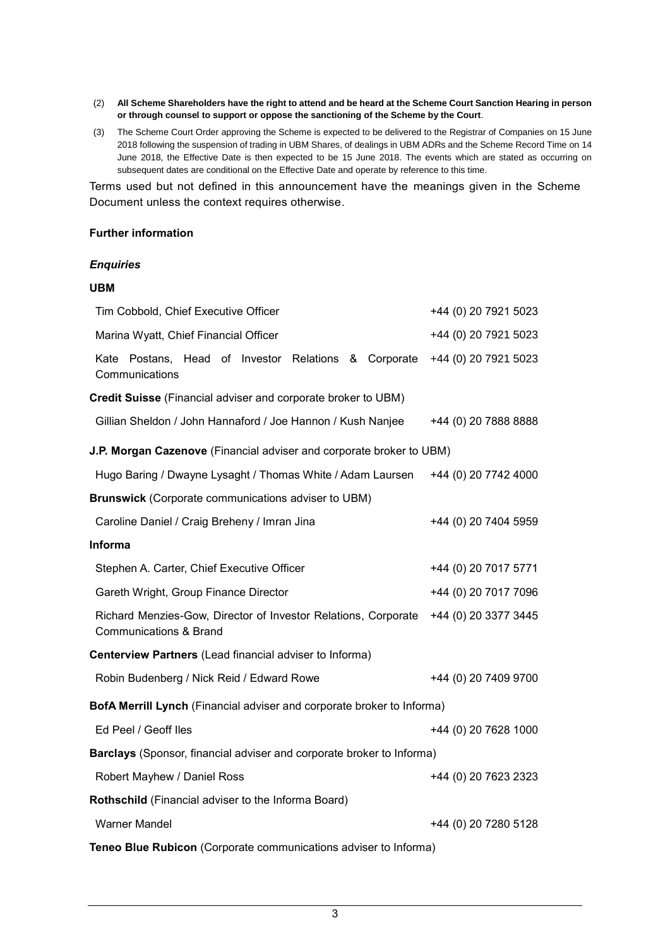- (2) **All Scheme Shareholders have the right to attend and be heard at the Scheme Court Sanction Hearing in person or through counsel to support or oppose the sanctioning of the Scheme by the Court**.
- (3) The Scheme Court Order approving the Scheme is expected to be delivered to the Registrar of Companies on 15 June 2018 following the suspension of trading in UBM Shares, of dealings in UBM ADRs and the Scheme Record Time on 14 June 2018, the Effective Date is then expected to be 15 June 2018. The events which are stated as occurring on subsequent dates are conditional on the Effective Date and operate by reference to this time.

Terms used but not defined in this announcement have the meanings given in the Scheme Document unless the context requires otherwise.

#### **Further information**

## *Enquiries*

### **UBM**

| Tim Cobbold, Chief Executive Officer                                                                                        | +44 (0) 20 7921 5023 |  |
|-----------------------------------------------------------------------------------------------------------------------------|----------------------|--|
| Marina Wyatt, Chief Financial Officer                                                                                       | +44 (0) 20 7921 5023 |  |
| Kate Postans, Head of Investor Relations & Corporate<br>Communications                                                      | +44 (0) 20 7921 5023 |  |
| <b>Credit Suisse (Financial adviser and corporate broker to UBM)</b>                                                        |                      |  |
| Gillian Sheldon / John Hannaford / Joe Hannon / Kush Nanjee                                                                 | +44 (0) 20 7888 8888 |  |
| J.P. Morgan Cazenove (Financial adviser and corporate broker to UBM)                                                        |                      |  |
| Hugo Baring / Dwayne Lysaght / Thomas White / Adam Laursen                                                                  | +44 (0) 20 7742 4000 |  |
| <b>Brunswick</b> (Corporate communications adviser to UBM)                                                                  |                      |  |
| Caroline Daniel / Craig Breheny / Imran Jina                                                                                | +44 (0) 20 7404 5959 |  |
| <b>Informa</b>                                                                                                              |                      |  |
| Stephen A. Carter, Chief Executive Officer                                                                                  | +44 (0) 20 7017 5771 |  |
| Gareth Wright, Group Finance Director                                                                                       | +44 (0) 20 7017 7096 |  |
| Richard Menzies-Gow, Director of Investor Relations, Corporate<br>+44 (0) 20 3377 3445<br><b>Communications &amp; Brand</b> |                      |  |
| Centerview Partners (Lead financial adviser to Informa)                                                                     |                      |  |
| Robin Budenberg / Nick Reid / Edward Rowe                                                                                   | +44 (0) 20 7409 9700 |  |
| BofA Merrill Lynch (Financial adviser and corporate broker to Informa)                                                      |                      |  |
| Ed Peel / Geoff Iles                                                                                                        | +44 (0) 20 7628 1000 |  |
| Barclays (Sponsor, financial adviser and corporate broker to Informa)                                                       |                      |  |
| Robert Mayhew / Daniel Ross                                                                                                 | +44 (0) 20 7623 2323 |  |
| Rothschild (Financial adviser to the Informa Board)                                                                         |                      |  |
| <b>Warner Mandel</b>                                                                                                        | +44 (0) 20 7280 5128 |  |
| Teneo Blue Rubicon (Corporate communications adviser to Informa)                                                            |                      |  |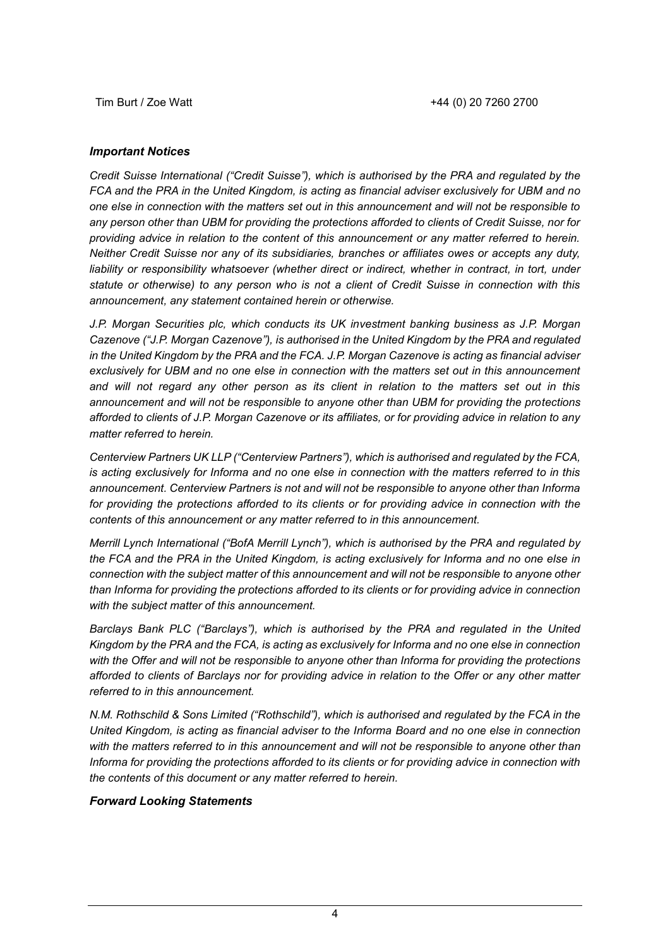### *Important Notices*

*Credit Suisse International ("Credit Suisse"), which is authorised by the PRA and regulated by the FCA and the PRA in the United Kingdom, is acting as financial adviser exclusively for UBM and no one else in connection with the matters set out in this announcement and will not be responsible to any person other than UBM for providing the protections afforded to clients of Credit Suisse, nor for providing advice in relation to the content of this announcement or any matter referred to herein. Neither Credit Suisse nor any of its subsidiaries, branches or affiliates owes or accepts any duty,*  liability or responsibility whatsoever (whether direct or indirect, whether in contract, in tort, under *statute or otherwise) to any person who is not a client of Credit Suisse in connection with this announcement, any statement contained herein or otherwise.*

*J.P. Morgan Securities plc, which conducts its UK investment banking business as J.P. Morgan Cazenove ("J.P. Morgan Cazenove"), is authorised in the United Kingdom by the PRA and regulated in the United Kingdom by the PRA and the FCA. J.P. Morgan Cazenove is acting as financial adviser exclusively for UBM and no one else in connection with the matters set out in this announcement and will not regard any other person as its client in relation to the matters set out in this announcement and will not be responsible to anyone other than UBM for providing the protections afforded to clients of J.P. Morgan Cazenove or its affiliates, or for providing advice in relation to any matter referred to herein.*

*Centerview Partners UK LLP ("Centerview Partners"), which is authorised and regulated by the FCA, is acting exclusively for Informa and no one else in connection with the matters referred to in this announcement. Centerview Partners is not and will not be responsible to anyone other than Informa*  for providing the protections afforded to its clients or for providing advice in connection with the *contents of this announcement or any matter referred to in this announcement.*

*Merrill Lynch International ("BofA Merrill Lynch"), which is authorised by the PRA and regulated by the FCA and the PRA in the United Kingdom, is acting exclusively for Informa and no one else in connection with the subject matter of this announcement and will not be responsible to anyone other than Informa for providing the protections afforded to its clients or for providing advice in connection with the subject matter of this announcement.*

*Barclays Bank PLC ("Barclays"), which is authorised by the PRA and regulated in the United Kingdom by the PRA and the FCA, is acting as exclusively for Informa and no one else in connection with the Offer and will not be responsible to anyone other than Informa for providing the protections afforded to clients of Barclays nor for providing advice in relation to the Offer or any other matter referred to in this announcement.*

*N.M. Rothschild & Sons Limited ("Rothschild"), which is authorised and regulated by the FCA in the United Kingdom, is acting as financial adviser to the Informa Board and no one else in connection with the matters referred to in this announcement and will not be responsible to anyone other than Informa for providing the protections afforded to its clients or for providing advice in connection with the contents of this document or any matter referred to herein.*

### *Forward Looking Statements*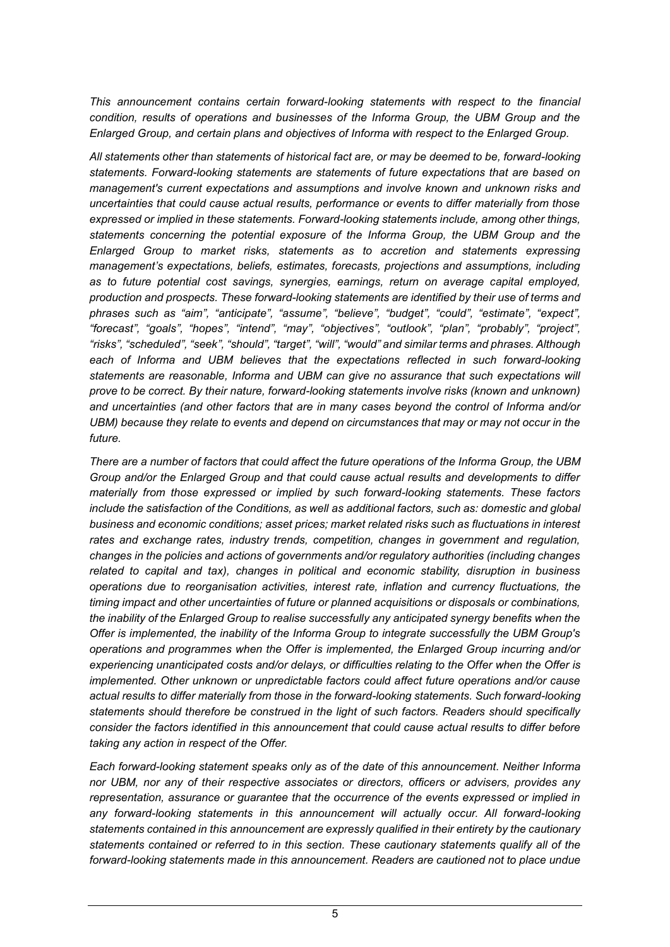*This announcement contains certain forward-looking statements with respect to the financial condition, results of operations and businesses of the Informa Group, the UBM Group and the Enlarged Group, and certain plans and objectives of Informa with respect to the Enlarged Group.*

*All statements other than statements of historical fact are, or may be deemed to be, forward-looking statements. Forward-looking statements are statements of future expectations that are based on management's current expectations and assumptions and involve known and unknown risks and uncertainties that could cause actual results, performance or events to differ materially from those expressed or implied in these statements. Forward-looking statements include, among other things, statements concerning the potential exposure of the Informa Group, the UBM Group and the Enlarged Group to market risks, statements as to accretion and statements expressing management's expectations, beliefs, estimates, forecasts, projections and assumptions, including as to future potential cost savings, synergies, earnings, return on average capital employed, production and prospects. These forward-looking statements are identified by their use of terms and phrases such as "aim", "anticipate", "assume", "believe", "budget", "could", "estimate", "expect", "forecast", "goals", "hopes", "intend", "may", "objectives", "outlook", "plan", "probably", "project", "risks", "scheduled", "seek", "should", "target", "will", "would" and similar terms and phrases. Although each of Informa and UBM believes that the expectations reflected in such forward-looking statements are reasonable, Informa and UBM can give no assurance that such expectations will prove to be correct. By their nature, forward-looking statements involve risks (known and unknown) and uncertainties (and other factors that are in many cases beyond the control of Informa and/or UBM) because they relate to events and depend on circumstances that may or may not occur in the future.*

*There are a number of factors that could affect the future operations of the Informa Group, the UBM Group and/or the Enlarged Group and that could cause actual results and developments to differ materially from those expressed or implied by such forward-looking statements. These factors include the satisfaction of the Conditions, as well as additional factors, such as: domestic and global business and economic conditions; asset prices; market related risks such as fluctuations in interest rates and exchange rates, industry trends, competition, changes in government and regulation, changes in the policies and actions of governments and/or regulatory authorities (including changes related to capital and tax), changes in political and economic stability, disruption in business operations due to reorganisation activities, interest rate, inflation and currency fluctuations, the timing impact and other uncertainties of future or planned acquisitions or disposals or combinations, the inability of the Enlarged Group to realise successfully any anticipated synergy benefits when the Offer is implemented, the inability of the Informa Group to integrate successfully the UBM Group's operations and programmes when the Offer is implemented, the Enlarged Group incurring and/or experiencing unanticipated costs and/or delays, or difficulties relating to the Offer when the Offer is implemented. Other unknown or unpredictable factors could affect future operations and/or cause actual results to differ materially from those in the forward-looking statements. Such forward-looking statements should therefore be construed in the light of such factors. Readers should specifically consider the factors identified in this announcement that could cause actual results to differ before taking any action in respect of the Offer.*

*Each forward-looking statement speaks only as of the date of this announcement. Neither Informa nor UBM, nor any of their respective associates or directors, officers or advisers, provides any representation, assurance or guarantee that the occurrence of the events expressed or implied in any forward-looking statements in this announcement will actually occur. All forward-looking statements contained in this announcement are expressly qualified in their entirety by the cautionary statements contained or referred to in this section. These cautionary statements qualify all of the forward-looking statements made in this announcement. Readers are cautioned not to place undue*